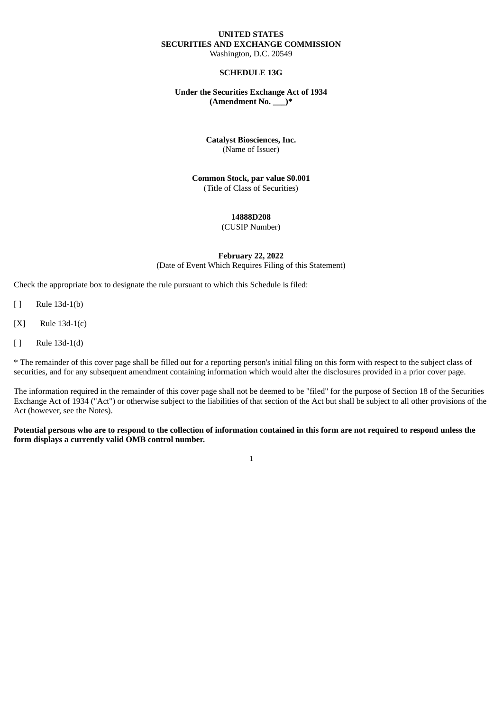### **UNITED STATES SECURITIES AND EXCHANGE COMMISSION** Washington, D.C. 20549

### **SCHEDULE 13G**

#### **Under the Securities Exchange Act of 1934 (Amendment No. \_\_\_)\***

## **Catalyst Biosciences, Inc.** (Name of Issuer)

**Common Stock, par value \$0.001** (Title of Class of Securities)

### **14888D208**

(CUSIP Number)

### **February 22, 2022** (Date of Event Which Requires Filing of this Statement)

Check the appropriate box to designate the rule pursuant to which this Schedule is filed:

- [ ] Rule 13d-1(b)
- [X] Rule 13d-1(c)
- [ ] Rule 13d-1(d)

\* The remainder of this cover page shall be filled out for a reporting person's initial filing on this form with respect to the subject class of securities, and for any subsequent amendment containing information which would alter the disclosures provided in a prior cover page.

The information required in the remainder of this cover page shall not be deemed to be "filed" for the purpose of Section 18 of the Securities Exchange Act of 1934 ("Act") or otherwise subject to the liabilities of that section of the Act but shall be subject to all other provisions of the Act (however, see the Notes).

### Potential persons who are to respond to the collection of information contained in this form are not required to respond unless the **form displays a currently valid OMB control number.**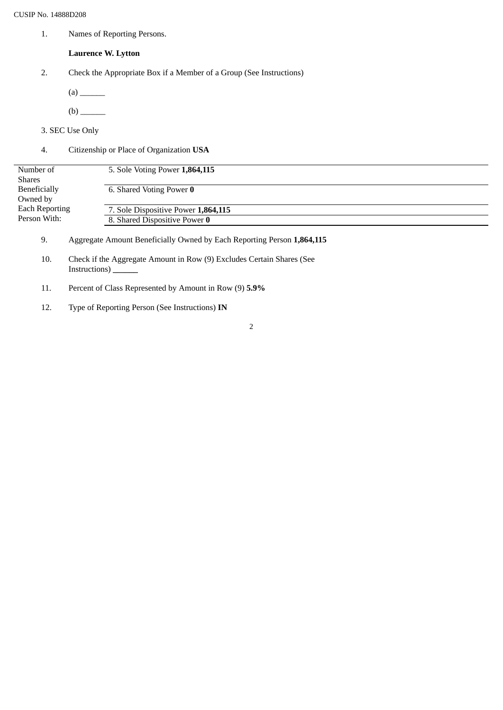1. Names of Reporting Persons.

# **Laurence W. Lytton**

- 2. Check the Appropriate Box if a Member of a Group (See Instructions)
	- (a) \_\_\_\_\_\_
	- (b) \_\_\_\_\_\_
- 3. SEC Use Only
- 4. Citizenship or Place of Organization **USA**

| Number of             | 5. Sole Voting Power 1,864,115      |  |
|-----------------------|-------------------------------------|--|
| Shares                |                                     |  |
| Beneficially          | 6. Shared Voting Power 0            |  |
| Owned by              |                                     |  |
| <b>Each Reporting</b> | 7. Sole Dispositive Power 1,864,115 |  |
| Person With:          | 8. Shared Dispositive Power 0       |  |
|                       |                                     |  |

- 9. Aggregate Amount Beneficially Owned by Each Reporting Person **1,864,115**
- 10. Check if the Aggregate Amount in Row (9) Excludes Certain Shares (See Instructions) **\_\_\_\_\_\_**
- 11. Percent of Class Represented by Amount in Row (9) **5.9%**
- 12. Type of Reporting Person (See Instructions) **IN**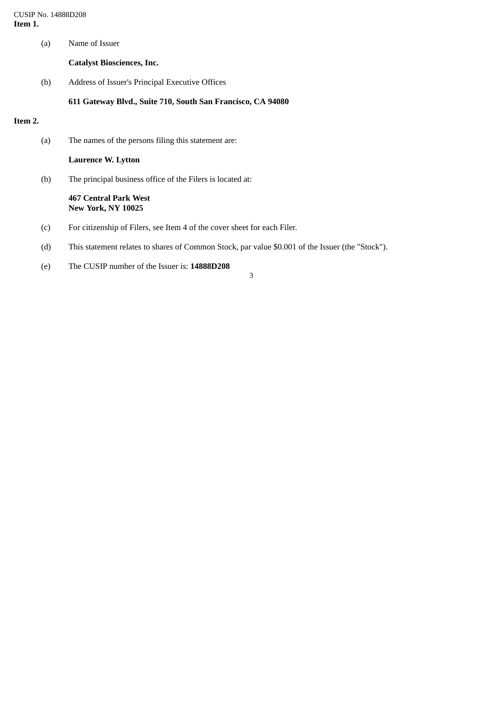CUSIP No. 14888D208 **Item 1.**

(a) Name of Issuer

**Catalyst Biosciences, Inc.**

(b) Address of Issuer's Principal Executive Offices

**611 Gateway Blvd., Suite 710, South San Francisco, CA 94080**

## **Item 2.**

(a) The names of the persons filing this statement are:

**Laurence W. Lytton**

(b) The principal business office of the Filers is located at:

#### **467 Central Park West New York, NY 10025**

- (c) For citizenship of Filers, see Item 4 of the cover sheet for each Filer.
- (d) This statement relates to shares of Common Stock, par value \$0.001 of the Issuer (the "Stock").
- (e) The CUSIP number of the Issuer is: **14888D208**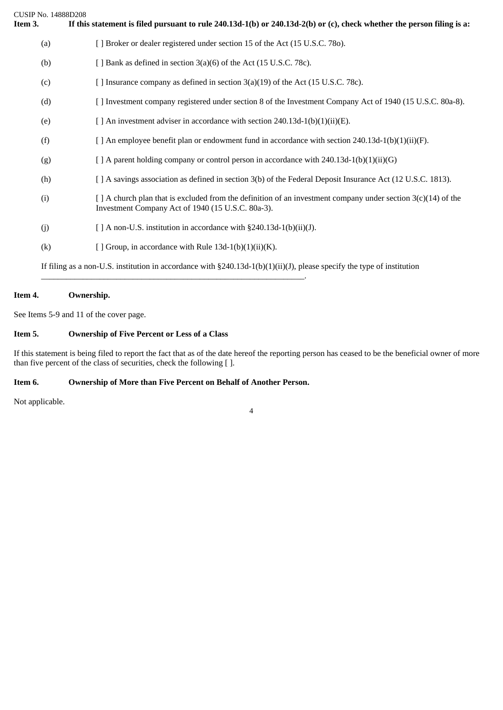| CUSIP No. 14888D208<br>Item 3. | If this statement is filed pursuant to rule $240.13d-1(b)$ or $240.13d-2(b)$ or (c), check whether the person filing is a:                                              |
|--------------------------------|-------------------------------------------------------------------------------------------------------------------------------------------------------------------------|
| (a)                            | [ ] Broker or dealer registered under section 15 of the Act (15 U.S.C. 780).                                                                                            |
| (b)                            | [ ] Bank as defined in section 3(a)(6) of the Act (15 U.S.C. 78c).                                                                                                      |
| (c)                            | [ ] Insurance company as defined in section 3(a)(19) of the Act (15 U.S.C. 78c).                                                                                        |
| (d)                            | [ ] Investment company registered under section 8 of the Investment Company Act of 1940 (15 U.S.C. 80a-8).                                                              |
| (e)                            | [ ] An investment adviser in accordance with section 240.13d-1(b)(1)(ii)(E).                                                                                            |
| (f)                            | [ ] An employee benefit plan or endowment fund in accordance with section $240.13d-1(b)(1)(ii)(F)$ .                                                                    |
| (g)                            | $[$ A parent holding company or control person in accordance with 240.13d-1(b)(1)(ii)(G)                                                                                |
| (h)                            | [ ] A savings association as defined in section 3(b) of the Federal Deposit Insurance Act (12 U.S.C. 1813).                                                             |
| (i)                            | $\lceil$ A church plan that is excluded from the definition of an investment company under section 3(c)(14) of the<br>Investment Company Act of 1940 (15 U.S.C. 80a-3). |
| (i)                            | [ ] A non-U.S. institution in accordance with §240.13d-1(b)(ii)(J).                                                                                                     |
| (k)                            | [ ] Group, in accordance with Rule $13d-1(b)(1)(ii)(K)$ .                                                                                                               |
|                                | If filing as a non-U.S. institution in accordance with $\S 240.13d-1(b)(1)(ii)(J)$ , please specify the type of institution                                             |

# **Item 4. Ownership.**

See Items 5-9 and 11 of the cover page.

## **Item 5. Ownership of Five Percent or Less of a Class**

If this statement is being filed to report the fact that as of the date hereof the reporting person has ceased to be the beneficial owner of more than five percent of the class of securities, check the following [ ].

# **Item 6. Ownership of More than Five Percent on Behalf of Another Person.**

\_\_\_\_\_\_\_\_\_\_\_\_\_\_\_\_\_\_\_\_\_\_\_\_\_\_\_\_\_\_\_\_\_\_\_\_\_\_\_\_\_\_\_\_\_\_\_\_\_\_\_\_\_\_\_\_\_\_\_\_\_\_\_.

Not applicable.